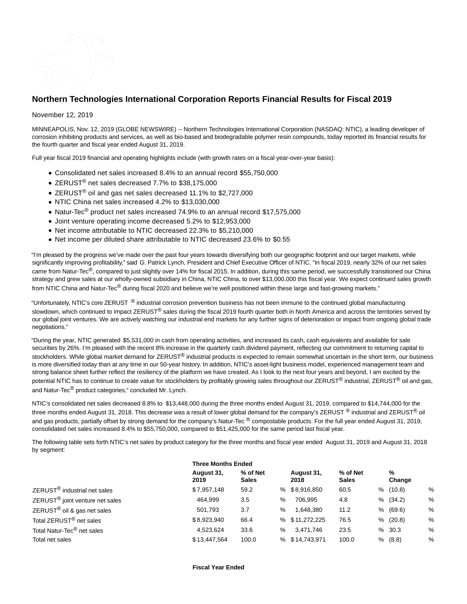

# **Northern Technologies International Corporation Reports Financial Results for Fiscal 2019**

# November 12, 2019

MINNEAPOLIS, Nov. 12, 2019 (GLOBE NEWSWIRE) -- Northern Technologies International Corporation (NASDAQ: NTIC), a leading developer of corrosion inhibiting products and services, as well as bio-based and biodegradable polymer resin compounds, today reported its financial results for the fourth quarter and fiscal year ended August 31, 2019.

Full year fiscal 2019 financial and operating highlights include (with growth rates on a fiscal year-over-year basis):

- Consolidated net sales increased 8.4% to an annual record \$55,750,000
- ZERUST® net sales decreased 7.7% to \$38,175,000
- ZERUST<sup>®</sup> oil and gas net sales decreased 11.1% to \$2,727,000
- NTIC China net sales increased 4.2% to \$13,030,000
- Natur-Tec<sup>®</sup> product net sales increased 74.9% to an annual record \$17,575,000
- Joint venture operating income decreased 5.2% to \$12,953,000
- Net income attributable to NTIC decreased 22.3% to \$5,210,000
- Net income per diluted share attributable to NTIC decreased 23.6% to \$0.55

"I'm pleased by the progress we've made over the past four years towards diversifying both our geographic footprint and our target markets, while significantly improving profitability," said G. Patrick Lynch, President and Chief Executive Officer of NTIC. "In fiscal 2019, nearly 32% of our net sales came from Natur-Tec®, compared to just slightly over 14% for fiscal 2015. In addition, during this same period, we successfully transitioned our China strategy and grew sales at our wholly-owned subsidiary in China, NTIC China, to over \$13,000,000 this fiscal year. We expect continued sales growth from NTIC China and Natur-Tec<sup>®</sup> during fiscal 2020 and believe we're well positioned within these large and fast-growing markets."

"Unfortunately, NTIC's core ZERUST <sup>®</sup> industrial corrosion prevention business has not been immune to the continued global manufacturing slowdown, which continued to impact ZERUST<sup>®</sup> sales during the fiscal 2019 fourth quarter both in North America and across the territories served by our global joint ventures. We are actively watching our industrial end markets for any further signs of deterioration or impact from ongoing global trade negotiations."

"During the year, NTIC generated \$5,531,000 in cash from operating activities, and increased its cash, cash equivalents and available for sale securities by 26%. I'm pleased with the recent 8% increase in the quarterly cash dividend payment, reflecting our commitment to returning capital to stockholders. While global market demand for ZERUST<sup>®</sup> industrial products is expected to remain somewhat uncertain in the short term, our business is more diversified today than at any time in our 50-year history. In addition, NTIC's asset-light business model, experienced management team and strong balance sheet further reflect the resiliency of the platform we have created. As I look to the next four years and beyond, I am excited by the potential NTIC has to continue to create value for stockholders by profitably growing sales throughout our ZERUST<sup>®</sup> industrial, ZERUST<sup>®</sup> oil and gas, and Natur-Tec<sup>®</sup> product categories," concluded Mr. Lynch.

NTIC's consolidated net sales decreased 8.8% to \$13,448,000 during the three months ended August 31, 2019, compared to \$14,744,000 for the three months ended August 31, 2018. This decrease was a result of lower global demand for the company's ZERUST  $^{\circledR}$  industrial and ZERUST $^{\circledR}$  oil and gas products, partially offset by strong demand for the company's Natur-Tec  $^{\circledR}$  compostable products. For the full year ended August 31, 2019, consolidated net sales increased 8.4% to \$55,750,000, compared to \$51,425,000 for the same period last fiscal year.

The following table sets forth NTIC's net sales by product category for the three months and fiscal year ended August 31, 2019 and August 31, 2018 by segment:

| August 31,<br>2019 | % of Net<br><b>Sales</b> |                           | August 31,<br>2018 | % of Net<br><b>Sales</b>                          |   | %<br>Change |                                                       |
|--------------------|--------------------------|---------------------------|--------------------|---------------------------------------------------|---|-------------|-------------------------------------------------------|
| \$7,957,148        | 59.2                     |                           |                    | 60.5                                              | ℅ | (10.8)      | %                                                     |
| 464,999            | 3.5                      | %                         | 706.995            | 4.8                                               |   |             | %                                                     |
| 501,793            | 3.7                      | %                         | 1,648,380          | 11.2                                              |   |             | %                                                     |
| \$8,923,940        | 66.4                     |                           |                    | 76.5                                              |   |             | %                                                     |
| 4,523,624          | 33.6                     | %                         | 3,471,746          | 23.5                                              |   |             | %                                                     |
| \$13,447,564       | 100.0                    |                           |                    | 100.0                                             |   |             | %                                                     |
|                    |                          | <b>Three Months Ended</b> |                    | % \$8,916,850<br>% \$11,272,225<br>% \$14,743,971 |   |             | % (34.2)<br>% (69.6)<br>% (20.8)<br>% 30.3<br>% (8.8) |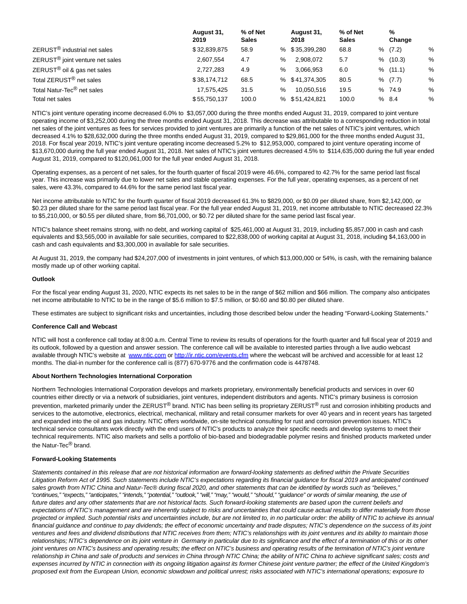|                                             | August 31,<br>2019 | % of Net<br><b>Sales</b> |   | August 31,<br>2018 | % of Net<br><b>Sales</b> | %<br>Change |   |
|---------------------------------------------|--------------------|--------------------------|---|--------------------|--------------------------|-------------|---|
| ZERUST <sup>®</sup> industrial net sales    | \$32,839,875       | 58.9                     |   | % \$35,399,280     | 68.8                     | % (7.2)     | % |
| ZERUST <sup>®</sup> joint venture net sales | 2,607,554          | 4.7                      | % | 2,908,072          | 5.7                      | % (10.3)    | % |
| ZERUST <sup>®</sup> oil & gas net sales     | 2.727.283          | 4.9                      | % | 3.066.953          | 6.0                      | % (11.1)    | % |
| Total ZERUST <sup>®</sup> net sales         | \$38,174,712       | 68.5                     |   | % \$41,374,305     | 80.5                     | % (7.7)     | % |
| Total Natur-Tec <sup>®</sup> net sales      | 17.575.425         | 31.5                     | % | 10.050.516         | 19.5                     | % 74.9      | % |
| Total net sales                             | \$55,750,137       | 100.0                    |   | % \$51,424,821     | 100.0                    | %8.4        | % |

NTIC's joint venture operating income decreased 6.0% to \$3,057,000 during the three months ended August 31, 2019, compared to joint venture operating income of \$3,252,000 during the three months ended August 31, 2018. This decrease was attributable to a corresponding reduction in total net sales of the joint ventures as fees for services provided to joint ventures are primarily a function of the net sales of NTIC's joint ventures, which decreased 4.1% to \$28,632,000 during the three months ended August 31, 2019, compared to \$29,861,000 for the three months ended August 31, 2018. For fiscal year 2019, NTIC's joint venture operating income decreased 5.2% to \$12,953,000, compared to joint venture operating income of \$13,670,000 during the full year ended August 31, 2018. Net sales of NTIC's joint ventures decreased 4.5% to \$114,635,000 during the full year ended August 31, 2019, compared to \$120,061,000 for the full year ended August 31, 2018.

Operating expenses, as a percent of net sales, for the fourth quarter of fiscal 2019 were 46.6%, compared to 42.7% for the same period last fiscal year. This increase was primarily due to lower net sales and stable operating expenses. For the full year, operating expenses, as a percent of net sales, were 43.3%, compared to 44.6% for the same period last fiscal year.

Net income attributable to NTIC for the fourth quarter of fiscal 2019 decreased 61.3% to \$829,000, or \$0.09 per diluted share, from \$2,142,000, or \$0.23 per diluted share for the same period last fiscal year. For the full year ended August 31, 2019, net income attributable to NTIC decreased 22.3% to \$5,210,000, or \$0.55 per diluted share, from \$6,701,000, or \$0.72 per diluted share for the same period last fiscal year.

NTIC's balance sheet remains strong, with no debt, and working capital of \$25,461,000 at August 31, 2019, including \$5,857,000 in cash and cash equivalents and \$3,565,000 in available for sale securities, compared to \$22,838,000 of working capital at August 31, 2018, including \$4,163,000 in cash and cash equivalents and \$3,300,000 in available for sale securities.

At August 31, 2019, the company had \$24,207,000 of investments in joint ventures, of which \$13,000,000 or 54%, is cash, with the remaining balance mostly made up of other working capital.

#### **Outlook**

For the fiscal year ending August 31, 2020, NTIC expects its net sales to be in the range of \$62 million and \$66 million. The company also anticipates net income attributable to NTIC to be in the range of \$5.6 million to \$7.5 million, or \$0.60 and \$0.80 per diluted share.

These estimates are subject to significant risks and uncertainties, including those described below under the heading "Forward-Looking Statements."

#### **Conference Call and Webcast**

NTIC will host a conference call today at 8:00 a.m. Central Time to review its results of operations for the fourth quarter and full fiscal year of 2019 and its outlook, followed by a question and answer session. The conference call will be available to interested parties through a live audio webcast available through NTIC's website at [www.ntic.com o](http://www.ntic.com/)r [http://ir.ntic.com/events.cfm w](http://ir.ntic.com/events.cfm)here the webcast will be archived and accessible for at least 12 months. The dial-in number for the conference call is (877) 670-9776 and the confirmation code is 4478748.

## **About Northern Technologies International Corporation**

Northern Technologies International Corporation develops and markets proprietary, environmentally beneficial products and services in over 60 countries either directly or via a network of subsidiaries, joint ventures, independent distributors and agents. NTIC's primary business is corrosion prevention, marketed primarily under the ZERUST® brand. NTIC has been selling its proprietary ZERUST® rust and corrosion inhibiting products and services to the automotive, electronics, electrical, mechanical, military and retail consumer markets for over 40 years and in recent years has targeted and expanded into the oil and gas industry. NTIC offers worldwide, on-site technical consulting for rust and corrosion prevention issues. NTIC's technical service consultants work directly with the end users of NTIC's products to analyze their specific needs and develop systems to meet their technical requirements. NTIC also markets and sells a portfolio of bio-based and biodegradable polymer resins and finished products marketed under the Natur-Tec<sup>®</sup> brand.

#### **Forward-Looking Statements**

Statements contained in this release that are not historical information are forward-looking statements as defined within the Private Securities Litigation Reform Act of 1995. Such statements include NTIC's expectations regarding its financial guidance for fiscal 2019 and anticipated continued sales growth from NTIC China and Natur-Tec® during fiscal 2020, and other statements that can be identified by words such as "believes," "continues," "expects," "anticipates," "intends," "potential," "outlook," "will," "may," "would," "should," "guidance" or words of similar meaning, the use of future dates and any other statements that are not historical facts. Such forward-looking statements are based upon the current beliefs and expectations of NTIC's management and are inherently subject to risks and uncertainties that could cause actual results to differ materially from those projected or implied. Such potential risks and uncertainties include, but are not limited to, in no particular order: the ability of NTIC to achieve its annual financial guidance and continue to pay dividends; the effect of economic uncertainty and trade disputes; NTIC's dependence on the success of its joint ventures and fees and dividend distributions that NTIC receives from them; NTIC's relationships with its joint ventures and its ability to maintain those relationships; NTIC's dependence on its joint venture in Germany in particular due to its significance and the effect of a termination of this or its other joint ventures on NTIC's business and operating results; the effect on NTIC's business and operating results of the termination of NTIC's joint venture relationship in China and sale of products and services in China through NTIC China; the ability of NTIC China to achieve significant sales; costs and expenses incurred by NTIC in connection with its ongoing litigation against its former Chinese joint venture partner; the effect of the United Kingdom's proposed exit from the European Union, economic slowdown and political unrest; risks associated with NTIC's international operations; exposure to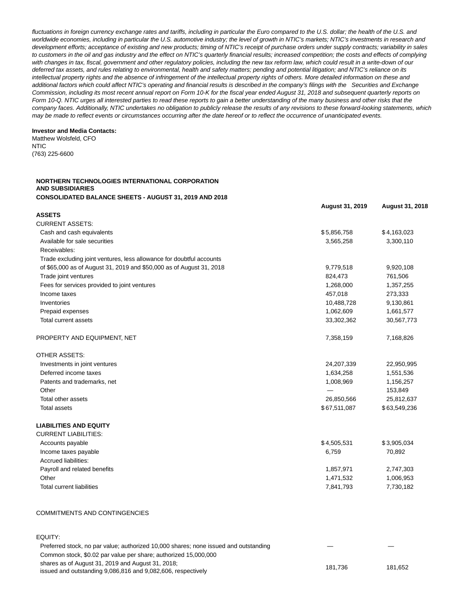fluctuations in foreign currency exchange rates and tariffs, including in particular the Euro compared to the U.S. dollar; the health of the U.S. and worldwide economies, including in particular the U.S. automotive industry; the level of growth in NTIC's markets; NTIC's investments in research and development efforts; acceptance of existing and new products; timing of NTIC's receipt of purchase orders under supply contracts; variability in sales to customers in the oil and gas industry and the effect on NTIC's quarterly financial results; increased competition; the costs and effects of complying with changes in tax, fiscal, government and other regulatory policies, including the new tax reform law, which could result in a write-down of our deferred tax assets, and rules relating to environmental, health and safety matters; pending and potential litigation; and NTIC's reliance on its intellectual property rights and the absence of infringement of the intellectual property rights of others. More detailed information on these and additional factors which could affect NTIC's operating and financial results is described in the company's filings with the Securities and Exchange Commission, including its most recent annual report on Form 10-K for the fiscal year ended August 31, 2018 and subsequent quarterly reports on Form 10-Q. NTIC urges all interested parties to read these reports to gain a better understanding of the many business and other risks that the company faces. Additionally, NTIC undertakes no obligation to publicly release the results of any revisions to these forward-looking statements, which may be made to reflect events or circumstances occurring after the date hereof or to reflect the occurrence of unanticipated events.

## **Investor and Media Contacts:**

Matthew Wolsfeld, CFO NTIC (763) 225-6600

# **NORTHERN TECHNOLOGIES INTERNATIONAL CORPORATION AND SUBSIDIARIES CONSOLIDATED BALANCE SHEETS - AUGUST 31, 2019 AND 2018**

|                                                                      | <b>August 31, 2019</b> | August 31, 2018 |
|----------------------------------------------------------------------|------------------------|-----------------|
| <b>ASSETS</b>                                                        |                        |                 |
| <b>CURRENT ASSETS:</b>                                               |                        |                 |
| Cash and cash equivalents                                            | \$5,856,758            | \$4,163,023     |
| Available for sale securities                                        | 3,565,258              | 3,300,110       |
| Receivables:                                                         |                        |                 |
| Trade excluding joint ventures, less allowance for doubtful accounts |                        |                 |
| of \$65,000 as of August 31, 2019 and \$50,000 as of August 31, 2018 | 9,779,518              | 9,920,108       |
| Trade joint ventures                                                 | 824,473                | 761,506         |
| Fees for services provided to joint ventures                         | 1,268,000              | 1,357,255       |
| Income taxes                                                         | 457,018                | 273,333         |
| Inventories                                                          | 10,488,728             | 9,130,861       |
| Prepaid expenses                                                     | 1,062,609              | 1,661,577       |
| Total current assets                                                 | 33,302,362             | 30,567,773      |
| PROPERTY AND EQUIPMENT, NET                                          | 7,358,159              | 7,168,826       |
| <b>OTHER ASSETS:</b>                                                 |                        |                 |
| Investments in joint ventures                                        | 24,207,339             | 22,950,995      |
| Deferred income taxes                                                | 1,634,258              | 1,551,536       |
| Patents and trademarks, net                                          | 1,008,969              | 1,156,257       |
| Other                                                                |                        | 153,849         |
| Total other assets                                                   | 26,850,566             | 25,812,637      |
| <b>Total assets</b>                                                  | \$67,511,087           | \$63,549,236    |
| <b>LIABILITIES AND EQUITY</b>                                        |                        |                 |
| <b>CURRENT LIABILITIES:</b>                                          |                        |                 |
| Accounts payable                                                     | \$4,505,531            | \$3,905,034     |
| Income taxes payable                                                 | 6,759                  | 70,892          |
| Accrued liabilities:                                                 |                        |                 |
| Payroll and related benefits                                         | 1,857,971              | 2,747,303       |
| Other                                                                | 1,471,532              | 1,006,953       |
| <b>Total current liabilities</b>                                     | 7,841,793              | 7,730,182       |
|                                                                      |                        |                 |

#### COMMITMENTS AND CONTINGENCIES

# EQUITY:

| Preferred stock, no par value; authorized 10,000 shares; none issued and outstanding                              |         |         |
|-------------------------------------------------------------------------------------------------------------------|---------|---------|
| Common stock, \$0.02 par value per share; authorized 15,000,000                                                   |         |         |
| shares as of August 31, 2019 and August 31, 2018;<br>issued and outstanding 9,086,816 and 9,082,606, respectively | 181.736 | 181.652 |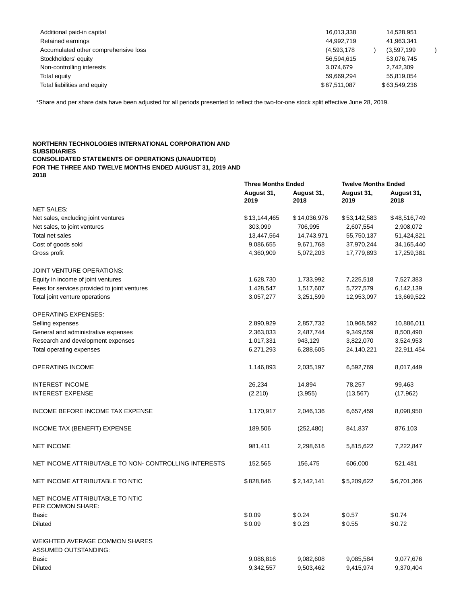| Additional paid-in capital           | 16,013,338   | 14.528.951   |
|--------------------------------------|--------------|--------------|
| Retained earnings                    | 44,992,719   | 41,963,341   |
| Accumulated other comprehensive loss | (4,593,178)  | (3,597,199)  |
| Stockholders' equity                 | 56.594.615   | 53.076.745   |
| Non-controlling interests            | 3.074.679    | 2.742.309    |
| Total equity                         | 59.669.294   | 55,819,054   |
| Total liabilities and equity         | \$67,511,087 | \$63,549,236 |

\*Share and per share data have been adjusted for all periods presented to reflect the two-for-one stock split effective June 28, 2019.

### **NORTHERN TECHNOLOGIES INTERNATIONAL CORPORATION AND SUBSIDIARIES CONSOLIDATED STATEMENTS OF OPERATIONS (UNAUDITED) FOR THE THREE AND TWELVE MONTHS ENDED AUGUST 31, 2019 AND 2018**

|                                                       | <b>Three Months Ended</b> |                    | <b>Twelve Months Ended</b> |                    |  |
|-------------------------------------------------------|---------------------------|--------------------|----------------------------|--------------------|--|
|                                                       | August 31,<br>2019        | August 31,<br>2018 | August 31,<br>2019         | August 31,<br>2018 |  |
| <b>NET SALES:</b>                                     |                           |                    |                            |                    |  |
| Net sales, excluding joint ventures                   | \$13,144,465              | \$14,036,976       | \$53,142,583               | \$48,516,749       |  |
| Net sales, to joint ventures                          | 303,099                   | 706,995            | 2,607,554                  | 2,908,072          |  |
| Total net sales                                       | 13,447,564                | 14,743,971         | 55,750,137                 | 51,424,821         |  |
| Cost of goods sold                                    | 9,086,655                 | 9,671,768          | 37,970,244                 | 34, 165, 440       |  |
| Gross profit                                          | 4,360,909                 | 5,072,203          | 17,779,893                 | 17,259,381         |  |
| JOINT VENTURE OPERATIONS:                             |                           |                    |                            |                    |  |
| Equity in income of joint ventures                    | 1,628,730                 | 1,733,992          | 7,225,518                  | 7,527,383          |  |
| Fees for services provided to joint ventures          | 1,428,547                 | 1,517,607          | 5,727,579                  | 6,142,139          |  |
| Total joint venture operations                        | 3,057,277                 | 3,251,599          | 12,953,097                 | 13,669,522         |  |
| <b>OPERATING EXPENSES:</b>                            |                           |                    |                            |                    |  |
| Selling expenses                                      | 2,890,929                 | 2,857,732          | 10,968,592                 | 10,886,011         |  |
| General and administrative expenses                   | 2,363,033                 | 2,487,744          | 9,349,559                  | 8,500,490          |  |
| Research and development expenses                     | 1,017,331                 | 943,129            | 3,822,070                  | 3,524,953          |  |
| Total operating expenses                              | 6,271,293                 | 6,288,605          | 24,140,221                 | 22,911,454         |  |
| OPERATING INCOME                                      | 1,146,893                 | 2,035,197          | 6,592,769                  | 8,017,449          |  |
| <b>INTEREST INCOME</b>                                | 26,234                    | 14,894             | 78,257                     | 99,463             |  |
| <b>INTEREST EXPENSE</b>                               | (2, 210)                  | (3,955)            | (13, 567)                  | (17, 962)          |  |
| INCOME BEFORE INCOME TAX EXPENSE                      | 1,170,917                 | 2,046,136          | 6,657,459                  | 8,098,950          |  |
| INCOME TAX (BENEFIT) EXPENSE                          | 189,506                   | (252, 480)         | 841,837                    | 876,103            |  |
| <b>NET INCOME</b>                                     | 981,411                   | 2,298,616          | 5,815,622                  | 7,222,847          |  |
| NET INCOME ATTRIBUTABLE TO NON- CONTROLLING INTERESTS | 152,565                   | 156,475            | 606,000                    | 521,481            |  |
| NET INCOME ATTRIBUTABLE TO NTIC                       | \$828,846                 | \$2,142,141        | \$5,209,622                | \$6,701,366        |  |
| NET INCOME ATTRIBUTABLE TO NTIC<br>PER COMMON SHARE:  |                           |                    |                            |                    |  |
| Basic                                                 | \$0.09                    | \$0.24             | \$0.57                     | \$0.74             |  |
| <b>Diluted</b>                                        | \$0.09                    | \$0.23             | \$0.55                     | \$0.72             |  |
| WEIGHTED AVERAGE COMMON SHARES                        |                           |                    |                            |                    |  |
| <b>ASSUMED OUTSTANDING:</b>                           |                           |                    |                            |                    |  |
| <b>Basic</b>                                          | 9,086,816                 | 9,082,608          | 9,085,584                  | 9,077,676          |  |
| <b>Diluted</b>                                        | 9,342,557                 | 9,503,462          | 9,415,974                  | 9,370,404          |  |